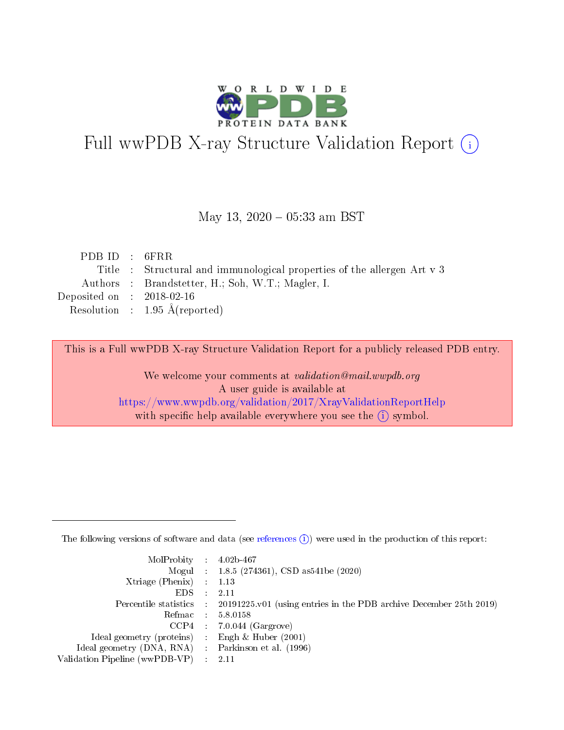

# Full wwPDB X-ray Structure Validation Report (i)

#### May 13,  $2020 - 05:33$  am BST

| PDBID : 6FRR                                                            |
|-------------------------------------------------------------------------|
| Title : Structural and immunological properties of the allergen Art v 3 |
| Authors : Brandstetter, H.; Soh, W.T.; Magler, I.                       |
| Deposited on : $2018-02-16$                                             |
| Resolution : $1.95 \text{ Å}$ (reported)                                |
|                                                                         |

This is a Full wwPDB X-ray Structure Validation Report for a publicly released PDB entry.

We welcome your comments at validation@mail.wwpdb.org A user guide is available at <https://www.wwpdb.org/validation/2017/XrayValidationReportHelp> with specific help available everywhere you see the  $(i)$  symbol.

The following versions of software and data (see [references](https://www.wwpdb.org/validation/2017/XrayValidationReportHelp#references)  $(1)$ ) were used in the production of this report:

| $MolProbability$ : 4.02b-467                       |               |                                                                                            |
|----------------------------------------------------|---------------|--------------------------------------------------------------------------------------------|
|                                                    |               | Mogul : $1.8.5$ (274361), CSD as 541be (2020)                                              |
| Xtriage (Phenix) $: 1.13$                          |               |                                                                                            |
| EDS.                                               | $\mathcal{L}$ | -2.11                                                                                      |
|                                                    |               | Percentile statistics : 20191225.v01 (using entries in the PDB archive December 25th 2019) |
|                                                    |               | Refmac : 5.8.0158                                                                          |
|                                                    |               | $CCP4$ 7.0.044 (Gargrove)                                                                  |
| Ideal geometry (proteins) : Engh $\&$ Huber (2001) |               |                                                                                            |
| Ideal geometry (DNA, RNA) Parkinson et al. (1996)  |               |                                                                                            |
| Validation Pipeline (wwPDB-VP) : 2.11              |               |                                                                                            |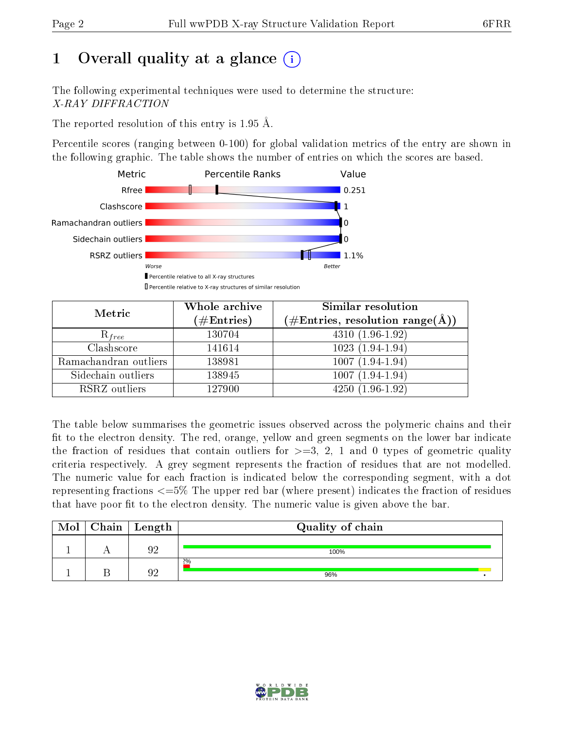# 1 [O](https://www.wwpdb.org/validation/2017/XrayValidationReportHelp#overall_quality)verall quality at a glance  $(i)$

The following experimental techniques were used to determine the structure: X-RAY DIFFRACTION

The reported resolution of this entry is 1.95 Å.

Percentile scores (ranging between 0-100) for global validation metrics of the entry are shown in the following graphic. The table shows the number of entries on which the scores are based.



| Metric                | Whole archive<br>$(\#\text{Entries})$ | Similar resolution<br>$(\#\text{Entries}, \text{resolution range}(\text{\AA}))$ |
|-----------------------|---------------------------------------|---------------------------------------------------------------------------------|
| $R_{free}$            | 130704                                | $4310(1.96-1.92)$                                                               |
| Clashscore            | 141614                                | $1023(1.94-1.94)$                                                               |
| Ramachandran outliers | 138981                                | $1007(1.94-1.94)$                                                               |
| Sidechain outliers    | 138945                                | $1007(1.94-1.94)$                                                               |
| RSRZ outliers         | 127900                                | $4250(1.96-1.92)$                                                               |

The table below summarises the geometric issues observed across the polymeric chains and their fit to the electron density. The red, orange, yellow and green segments on the lower bar indicate the fraction of residues that contain outliers for  $>=3, 2, 1$  and 0 types of geometric quality criteria respectively. A grey segment represents the fraction of residues that are not modelled. The numeric value for each fraction is indicated below the corresponding segment, with a dot representing fractions  $\epsilon=5\%$  The upper red bar (where present) indicates the fraction of residues that have poor fit to the electron density. The numeric value is given above the bar.

| Mol | ${\bf Chain \mid Length}$ | Quality of chain |
|-----|---------------------------|------------------|
|     | ∩∩                        | 100%             |
|     | ∩∩                        | 2%<br>96%        |

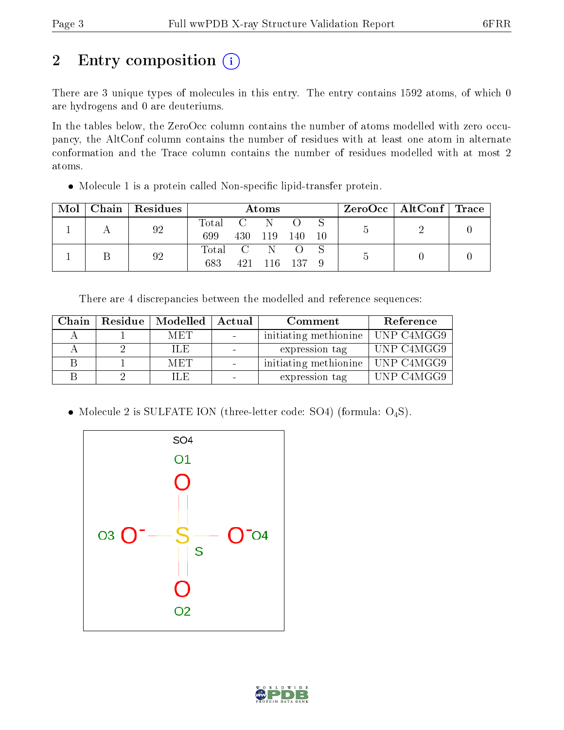# 2 Entry composition (i)

There are 3 unique types of molecules in this entry. The entry contains 1592 atoms, of which 0 are hydrogens and 0 are deuteriums.

In the tables below, the ZeroOcc column contains the number of atoms modelled with zero occupancy, the AltConf column contains the number of residues with at least one atom in alternate conformation and the Trace column contains the number of residues modelled with at most 2 atoms.

• Molecule 1 is a protein called Non-specific lipid-transfer protein.

| Mol | Chain   Residues | Atoms     |  |         |        |  | $ZeroOcc \mid AltConf \mid Trace$ |  |
|-----|------------------|-----------|--|---------|--------|--|-----------------------------------|--|
|     | 92               | Total C   |  | N       |        |  |                                   |  |
|     |                  | 699       |  | 430 119 | - 140  |  |                                   |  |
|     | 92               | Total C N |  |         |        |  |                                   |  |
|     |                  | 683       |  | 421 116 | $-137$ |  |                                   |  |

There are 4 discrepancies between the modelled and reference sequences:

| Chain | Residue   Modelled | $\perp$ Actual | Comment               | Reference  |
|-------|--------------------|----------------|-----------------------|------------|
|       | MET                |                | initiating methionine | UNP C4MGG9 |
|       | ILE                |                | expression tag        | UNP C4MGG9 |
|       | <b>MET</b>         |                | initiating methionine | UNP C4MGG9 |
|       | U.E.               |                | expression tag        | UNP C4MGG9 |

• Molecule 2 is SULFATE ION (three-letter code: SO4) (formula:  $O_4S$ ).



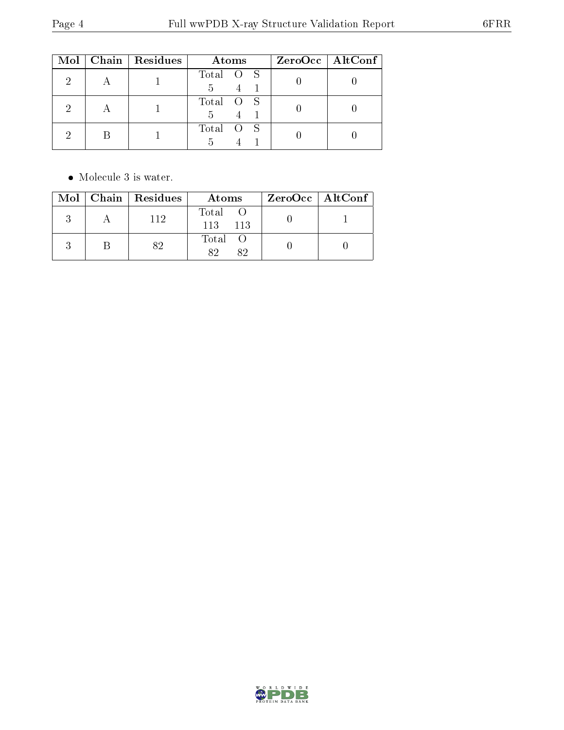|  | Mol   Chain   Residues | Atoms          | ZeroOcc   AltConf |
|--|------------------------|----------------|-------------------|
|  |                        | Total O S<br>5 |                   |
|  |                        | Total O S<br>5 |                   |
|  |                        | Total O S      |                   |

• Molecule 3 is water.

|  | Mol   Chain   Residues | Atoms                | $ZeroOcc \mid AltConf \mid$ |
|--|------------------------|----------------------|-----------------------------|
|  | 112                    | Total<br>113<br>-113 |                             |
|  |                        | Total O<br>89<br>89  |                             |

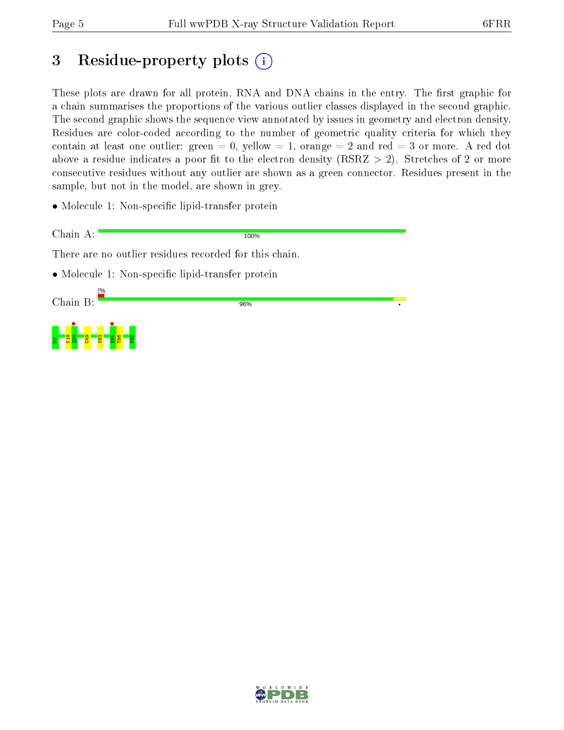# 3 Residue-property plots  $\binom{1}{1}$

These plots are drawn for all protein, RNA and DNA chains in the entry. The first graphic for a chain summarises the proportions of the various outlier classes displayed in the second graphic. The second graphic shows the sequence view annotated by issues in geometry and electron density. Residues are color-coded according to the number of geometric quality criteria for which they contain at least one outlier: green  $= 0$ , yellow  $= 1$ , orange  $= 2$  and red  $= 3$  or more. A red dot above a residue indicates a poor fit to the electron density (RSRZ  $> 2$ ). Stretches of 2 or more consecutive residues without any outlier are shown as a green connector. Residues present in the sample, but not in the model, are shown in grey.

• Molecule 1: Non-specific lipid-transfer protein

Chain A: 100% There are no outlier residues recorded for this chain. • Molecule 1: Non-specific lipid-transfer protein Chain B: 96%



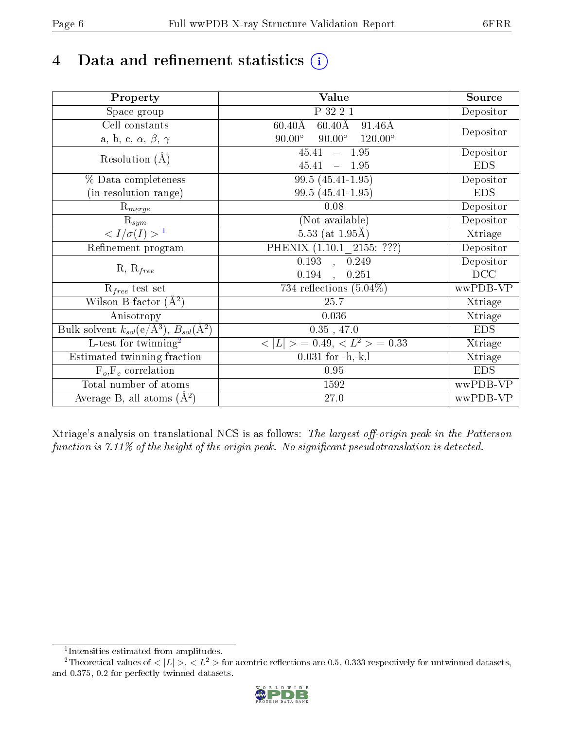# 4 Data and refinement statistics  $(i)$

| Property                                                             | Value                                                       | Source     |
|----------------------------------------------------------------------|-------------------------------------------------------------|------------|
| Space group                                                          | P 32 2 1                                                    | Depositor  |
| Cell constants                                                       | $60.40\text{\AA}$<br>$60.40\text{\AA}$<br>$91.46\text{\AA}$ |            |
| a, b, c, $\alpha$ , $\beta$ , $\gamma$                               | $90.00^\circ$<br>$90.00^\circ$<br>$120.00^{\circ}$          | Depositor  |
| Resolution $(A)$                                                     | $-1.95$<br>45.41                                            | Depositor  |
|                                                                      | 45.41<br>$-1.95$                                            | <b>EDS</b> |
| % Data completeness                                                  | 99.5 (45.41-1.95)                                           | Depositor  |
| (in resolution range)                                                | 99.5 (45.41-1.95)                                           | <b>EDS</b> |
| $R_{merge}$                                                          | 0.08                                                        | Depositor  |
| $\mathrm{R}_{sym}$                                                   | (Not available)                                             | Depositor  |
| $\sqrt{I/\sigma}(I) > 1$                                             | 5.53 (at $1.95\text{\AA}$ )                                 | Xtriage    |
| Refinement program                                                   | PHENIX (1.10.1 2155: ???)                                   | Depositor  |
|                                                                      | 0.193, 0.249                                                | Depositor  |
| $R, R_{free}$                                                        | 0.194<br>0.251                                              | DCC        |
| $R_{free}$ test set                                                  | 734 reflections $(5.04\%)$                                  | wwPDB-VP   |
| Wilson B-factor $(A^2)$                                              | 25.7                                                        | Xtriage    |
| Anisotropy                                                           | 0.036                                                       | Xtriage    |
| Bulk solvent $k_{sol}(e/\mathring{A}^3)$ , $B_{sol}(\mathring{A}^2)$ | $0.35$ , 47.0                                               | <b>EDS</b> |
| L-test for twinning <sup>2</sup>                                     | $< L >$ = 0.49, $< L2$ > = 0.33                             | Xtriage    |
| Estimated twinning fraction                                          | $0.031$ for $-h,-k,l$                                       | Xtriage    |
| $F_o, F_c$ correlation                                               | 0.95                                                        | <b>EDS</b> |
| Total number of atoms                                                | 1592                                                        | wwPDB-VP   |
| Average B, all atoms $(A^2)$                                         | $27.0\,$                                                    | wwPDB-VP   |

Xtriage's analysis on translational NCS is as follows: The largest off-origin peak in the Patterson function is  $7.11\%$  of the height of the origin peak. No significant pseudotranslation is detected.

<sup>&</sup>lt;sup>2</sup>Theoretical values of  $\langle |L| \rangle$ ,  $\langle L^2 \rangle$  for acentric reflections are 0.5, 0.333 respectively for untwinned datasets, and 0.375, 0.2 for perfectly twinned datasets.



<span id="page-5-1"></span><span id="page-5-0"></span><sup>1</sup> Intensities estimated from amplitudes.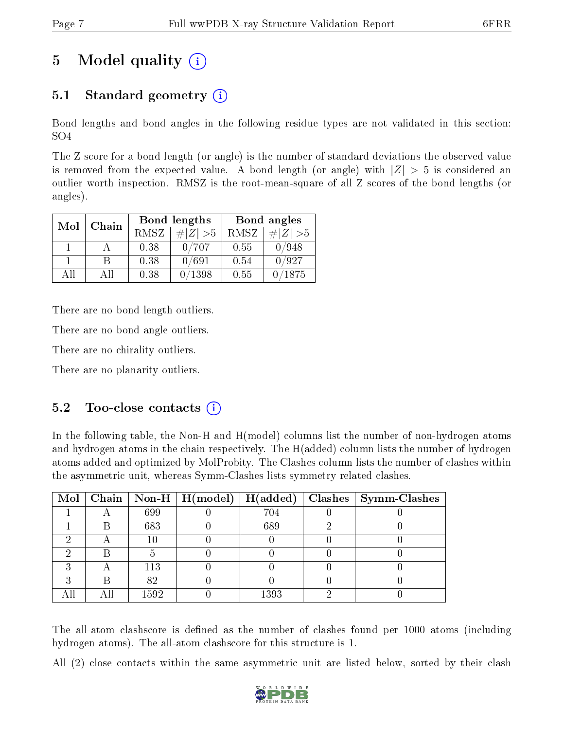# 5 Model quality  $(i)$

## 5.1 Standard geometry (i)

Bond lengths and bond angles in the following residue types are not validated in this section: SO4

The Z score for a bond length (or angle) is the number of standard deviations the observed value is removed from the expected value. A bond length (or angle) with  $|Z| > 5$  is considered an outlier worth inspection. RMSZ is the root-mean-square of all Z scores of the bond lengths (or angles).

| Mol | Chain |             | Bond lengths    | Bond angles |                 |
|-----|-------|-------------|-----------------|-------------|-----------------|
|     |       | <b>RMSZ</b> | $\# Z  > 5$     | RMSZ        | # $ Z  > 5$     |
|     |       | 0.38        | 0/707           | 0.55        | 0/948           |
|     |       | 0.38        | 0/691           | 0.54        | 0/927           |
| ΔH  | A 11  | 0.38        | $^{\prime}1398$ | 0.55        | $^{\prime}1875$ |

There are no bond length outliers.

There are no bond angle outliers.

There are no chirality outliers.

There are no planarity outliers.

### $5.2$  Too-close contacts  $(i)$

In the following table, the Non-H and H(model) columns list the number of non-hydrogen atoms and hydrogen atoms in the chain respectively. The H(added) column lists the number of hydrogen atoms added and optimized by MolProbity. The Clashes column lists the number of clashes within the asymmetric unit, whereas Symm-Clashes lists symmetry related clashes.

|  |      |      | Mol   Chain   Non-H   H(model)   H(added)   Clashes   Symm-Clashes |
|--|------|------|--------------------------------------------------------------------|
|  | 699  | 704  |                                                                    |
|  | 683  | 689  |                                                                    |
|  | 10   |      |                                                                    |
|  |      |      |                                                                    |
|  | 113  |      |                                                                    |
|  | 82   |      |                                                                    |
|  | 1592 | 1393 |                                                                    |

The all-atom clashscore is defined as the number of clashes found per 1000 atoms (including hydrogen atoms). The all-atom clashscore for this structure is 1.

All (2) close contacts within the same asymmetric unit are listed below, sorted by their clash

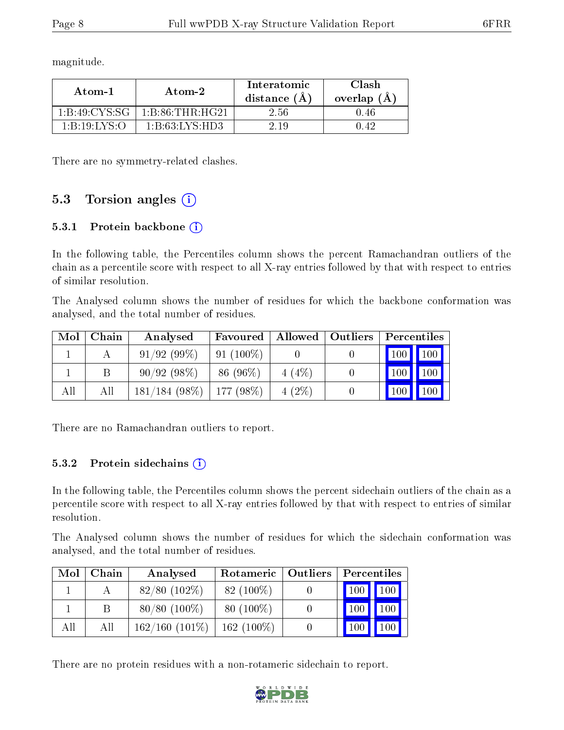magnitude.

| Atom-1                                         | Atom-2                                             | Interatomic<br>distance (A) | Clash<br>overlap $(A)$ |
|------------------------------------------------|----------------------------------------------------|-----------------------------|------------------------|
| 1 B 49 CYS SG                                  | $1 \cdot B \cdot 86 \cdot THR \cdot H G$ 21        | 2.56                        | 0.46                   |
| $1 \cdot R \cdot 19 \cdot I \cdot Y S \cdot O$ | $1 \cdot B \cdot 63 \cdot I \cdot Y S \cdot H D 3$ | 2 19                        | () 42                  |

There are no symmetry-related clashes.

### 5.3 Torsion angles  $(i)$

#### 5.3.1 Protein backbone (i)

In the following table, the Percentiles column shows the percent Ramachandran outliers of the chain as a percentile score with respect to all X-ray entries followed by that with respect to entries of similar resolution.

The Analysed column shows the number of residues for which the backbone conformation was analysed, and the total number of residues.

| Mol | Chain | Analysed        | Favoured      |          | Allowed   Outliers | Percentiles   |
|-----|-------|-----------------|---------------|----------|--------------------|---------------|
|     |       | 91/92(99%)      | $91(100\%)$   |          |                    | $100$   $100$ |
|     |       | 90/92(98%)      | 86 (96\%)     | $4(4\%)$ |                    | 100<br>100    |
| All | Аll   | $181/184(98\%)$ | 177 (98 $%$ ) | $4(2\%)$ |                    | 100<br>100    |

There are no Ramachandran outliers to report.

#### 5.3.2 Protein sidechains (i)

In the following table, the Percentiles column shows the percent sidechain outliers of the chain as a percentile score with respect to all X-ray entries followed by that with respect to entries of similar resolution.

The Analysed column shows the number of residues for which the sidechain conformation was analysed, and the total number of residues.

| Mol | Chain | Analysed            | Rotameric   Outliers | Percentiles             |                     |  |
|-----|-------|---------------------|----------------------|-------------------------|---------------------|--|
|     |       | $82/80$ (102\%)     | $82(100\%)$          | $\vert 100 \vert \vert$ | $\vert$ 100 $\vert$ |  |
|     | B     | $80/80(100\%)$      | $80(100\%)$          | <b>100</b>              | 100                 |  |
| All | All   | $162/160$ $(101\%)$ | $162(100\%)$         | 100                     | 100                 |  |

There are no protein residues with a non-rotameric sidechain to report.

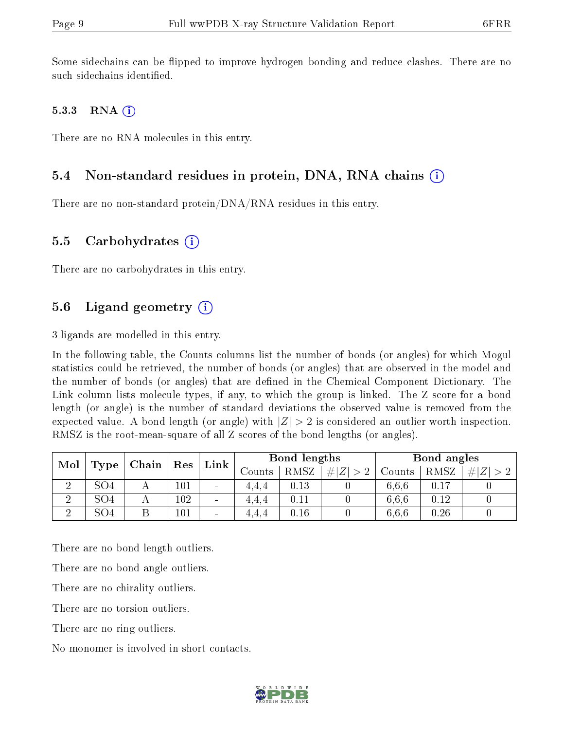Some sidechains can be flipped to improve hydrogen bonding and reduce clashes. There are no such sidechains identified.

#### 5.3.3 RNA  $(i)$

There are no RNA molecules in this entry.

### 5.4 Non-standard residues in protein, DNA, RNA chains (i)

There are no non-standard protein/DNA/RNA residues in this entry.

#### 5.5 Carbohydrates  $(i)$

There are no carbohydrates in this entry.

### 5.6 Ligand geometry  $(i)$

3 ligands are modelled in this entry.

In the following table, the Counts columns list the number of bonds (or angles) for which Mogul statistics could be retrieved, the number of bonds (or angles) that are observed in the model and the number of bonds (or angles) that are defined in the Chemical Component Dictionary. The Link column lists molecule types, if any, to which the group is linked. The Z score for a bond length (or angle) is the number of standard deviations the observed value is removed from the expected value. A bond length (or angle) with  $|Z| > 2$  is considered an outlier worth inspection. RMSZ is the root-mean-square of all Z scores of the bond lengths (or angles).

| Mol<br>Type |                 | Chain | Res     | Link                         | Bond lengths |      |             | Bond angles |      |         |
|-------------|-----------------|-------|---------|------------------------------|--------------|------|-------------|-------------|------|---------|
|             |                 |       |         |                              | Jounts       | RMSZ | $\ Z\  > 2$ | Counts      | RMSZ | Z <br># |
|             | SO4             |       | $101\,$ | $\sim$                       | 4.4.4        | 0.13 |             | 6.6.6       | 0.17 |         |
| റ           | SO <sub>4</sub> |       | 102     | $\qquad \qquad \blacksquare$ | 4.4.4        | 0.11 |             | 6.6.6       | 0.12 |         |
| $\Omega$    | SO <sub>4</sub> |       | $101\,$ | $\sim$                       | 4.4.4        | 0.16 |             | 6,6,6       | 0.26 |         |

There are no bond length outliers.

There are no bond angle outliers.

There are no chirality outliers.

There are no torsion outliers.

There are no ring outliers.

No monomer is involved in short contacts.

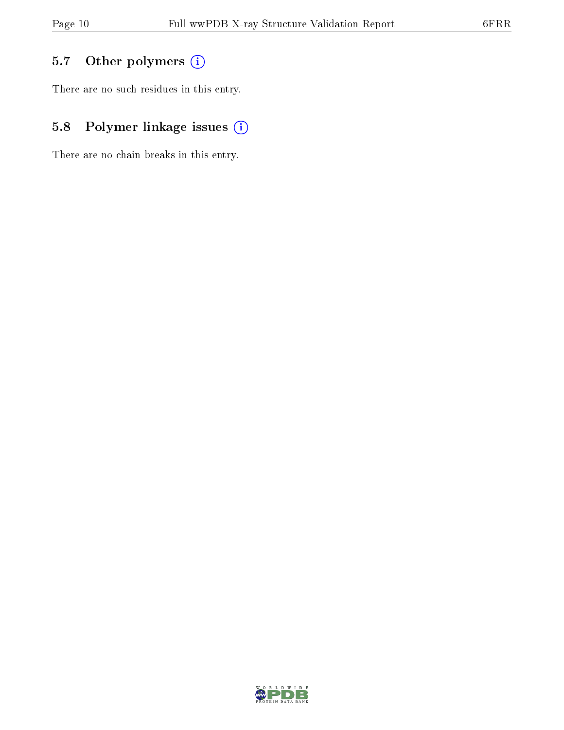## 5.7 [O](https://www.wwpdb.org/validation/2017/XrayValidationReportHelp#nonstandard_residues_and_ligands)ther polymers (i)

There are no such residues in this entry.

## 5.8 Polymer linkage issues (i)

There are no chain breaks in this entry.

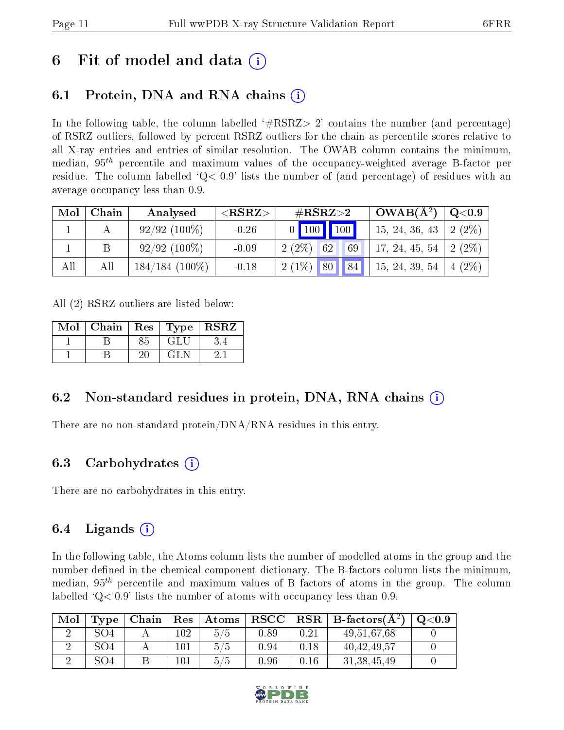## 6 Fit of model and data  $\left( \cdot \right)$

### 6.1 Protein, DNA and RNA chains (i)

In the following table, the column labelled  $#RSRZ>2'$  contains the number (and percentage) of RSRZ outliers, followed by percent RSRZ outliers for the chain as percentile scores relative to all X-ray entries and entries of similar resolution. The OWAB column contains the minimum, median,  $95<sup>th</sup>$  percentile and maximum values of the occupancy-weighted average B-factor per residue. The column labelled  $Q< 0.9$  lists the number of (and percentage) of residues with an average occupancy less than 0.9.

| Mol | Chain | Analysed         | ${ <\hspace{-1.5pt}{\mathrm{RSRZ}} \hspace{-1.5pt}>}$ | $\#\text{RSRZ}\text{>2}$ | $OWAB(A^2)$    | $\mid$ Q<0.9              |
|-----|-------|------------------|-------------------------------------------------------|--------------------------|----------------|---------------------------|
|     |       | $92/92(100\%)$   | $-0.26$                                               | 0   100   100            | 15, 24, 36, 43 | $2(2\%)$                  |
|     |       | $92/92(100\%)$   | $-0.09$                                               | $2(2\%)$<br>69<br>62     | 17, 24, 45, 54 | $2(2\%)$                  |
| All |       | $184/184(100\%)$ | $-0.18$                                               | $2(1\%)$ 80 84           | 15, 24, 39, 54 | $(2\%)$<br>$\overline{4}$ |

All (2) RSRZ outliers are listed below:

| Mol   Chain   Res   Type   RSRZ |    |            |  |
|---------------------------------|----|------------|--|
|                                 | 85 | <b>GLU</b> |  |
|                                 |    | GL N       |  |

### 6.2 Non-standard residues in protein, DNA, RNA chains  $(i)$

There are no non-standard protein/DNA/RNA residues in this entry.

### 6.3 Carbohydrates (i)

There are no carbohydrates in this entry.

### 6.4 Ligands  $(i)$

In the following table, the Atoms column lists the number of modelled atoms in the group and the number defined in the chemical component dictionary. The B-factors column lists the minimum, median,  $95<sup>th</sup>$  percentile and maximum values of B factors of atoms in the group. The column labelled  $Q< 0.9$ ' lists the number of atoms with occupancy less than 0.9.

| Mol | Type | Chain |     | $\mid$ $\mathrm{Res}\mid$ $\mathrm{Atoms}\mid$ |      |      | $ RSCC RSR B-factors(A2)$ | $\rm ^{O<}0.9$ |
|-----|------|-------|-----|------------------------------------------------|------|------|---------------------------|----------------|
|     | SO4  |       | 102 | 5/5                                            | 0.89 | 0.21 | 49,51,67,68               |                |
|     | SO4  |       | 101 | 5/5                                            | 0.94 | 0.18 | 40, 42, 49, 57            |                |
|     | SO4  |       |     | 5/5                                            | 0.96 | 0.16 | 31, 38, 45, 49            |                |